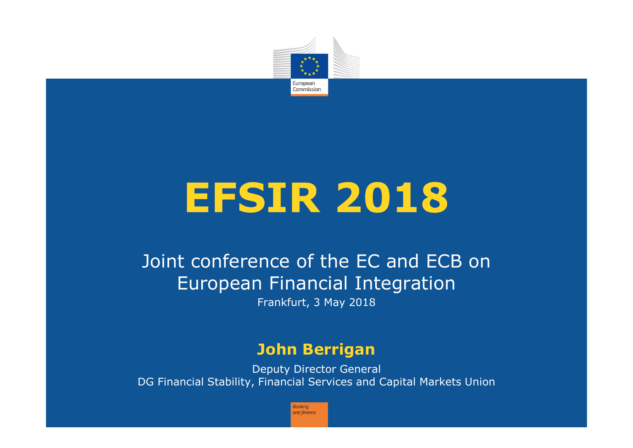

# **EFSIR 2018**

# Joint conference of the EC and ECB on European Financial Integration

Frankfurt, 3 May 2018

### **John Berrigan**

Deputy Director General DG Financial Stability, Financial Services and Capital Markets Union

> **Bankina** and finance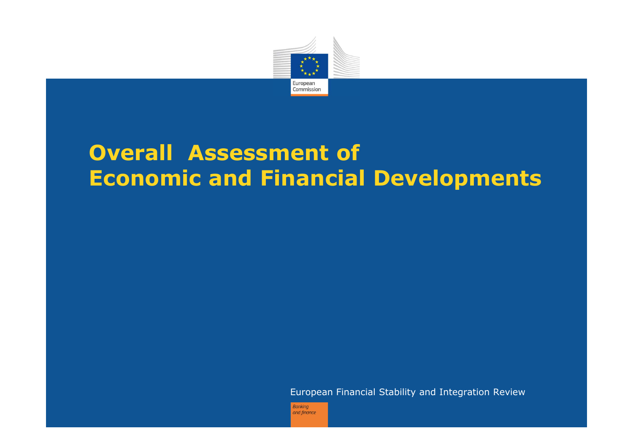

# **Overall Assessment of Economic and Financial Developments**

European Financial Stability and Integration Review

**Banking** and finance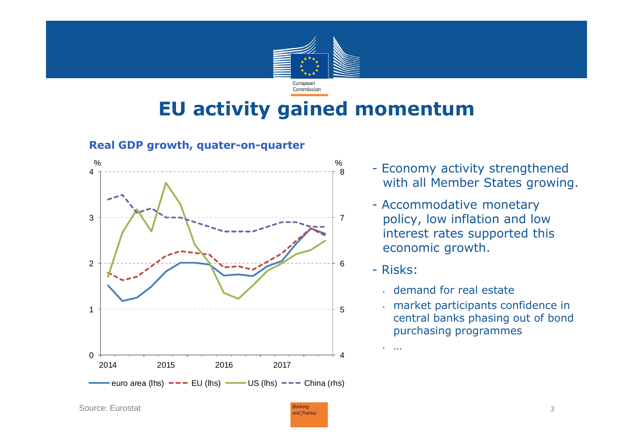

# **EU activity gained momentum**

**Real GDP growth, quater-on-quarter**



- Economy activity strengthened with all Member States growing.
- Accommodative monetary policy, low inflation and low interest rates supported this economic growth.
- Risks:

…

- demand for real estate
- market participants confidence in central banks phasing out of bond purchasing programmes

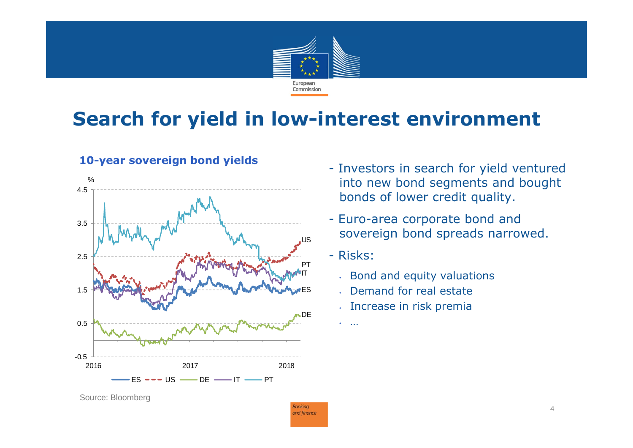

# **Search for yield in low-interest environment**

**Banking** and finance





- Investors in search for yield ventured into new bond segments and bought bonds of lower credit quality.
- Euro-area corporate bond and sovereign bond spreads narrowed.
- Risks:

• …

- Bond and equity valuations
- Demand for real estate
- Increase in risk premia

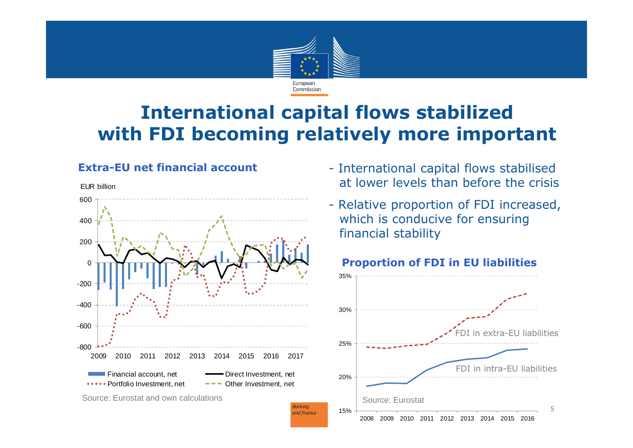

## **International capital flows stabilized with FDI becoming relatively more important**

### **Extra-EU net financial account**



- International capital flows stabilised at lower levels than before the crisis
- Relative proportion of FDI increased, which is conducive for ensuring financial stability



### **Proportion of FDI in EU liabilities**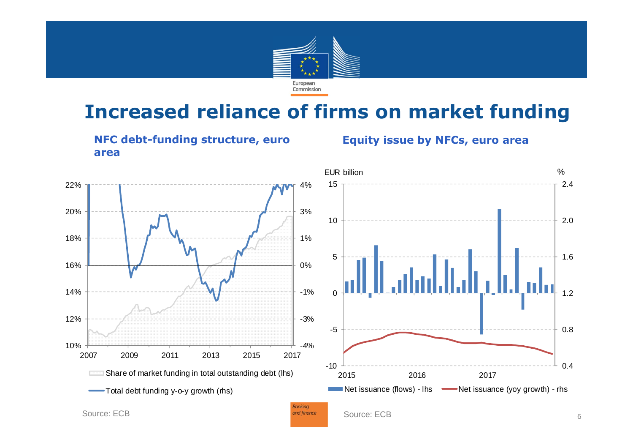

# **Increased reliance of firms on market funding**



### **Equity issue by NFCs, euro area**



0.4

0.8

1.2

m

1.6

2.0

2.4

%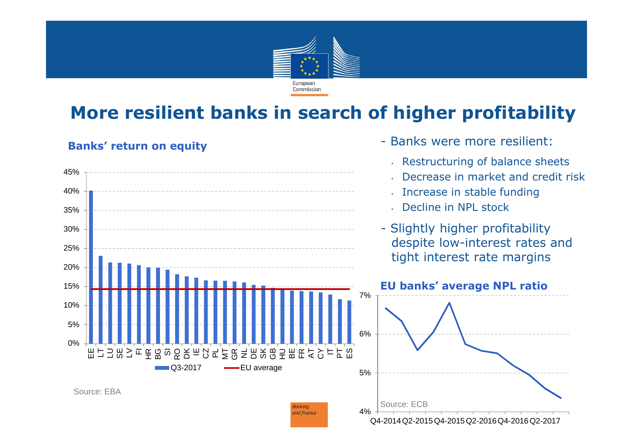

## **More resilient banks in search of higher profitability**

- Banks were more resilient:

### **Banks' return on equity**

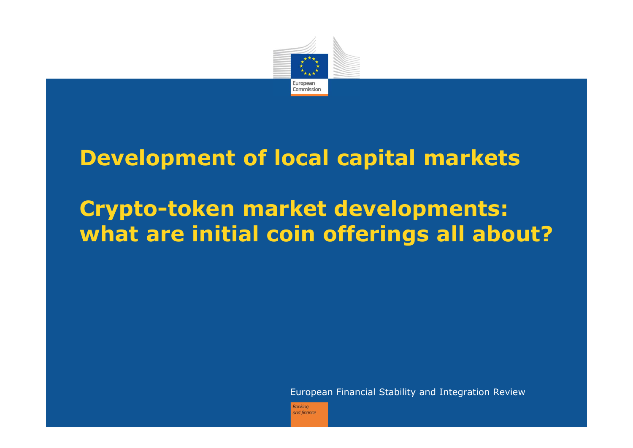

# **Development of local capital markets**

# **Crypto-token market developments: what are initial coin offerings all about?**

European Financial Stability and Integration Review

**Bankina** and finance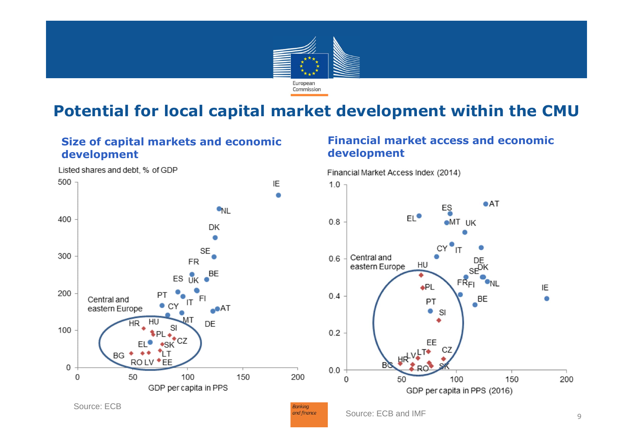

### **Potential for local capital market development within the CMU**

and finance

### **Size of capital markets and economic development**

Listed shares and debt, % of GDP

#### $500 -$ IE  $\bullet$  $\bullet$ <sub>NL</sub> 400 DK ۰  $SE_{\bullet}$ 300 **FR** BE  $ES$ <sub>UK</sub> 200 PT Central and FI  $\bullet$  C eastern Europe ⊶0AT DE 100 **BG ROLV**  $\bullet$ FF 0 0 50 100 150 200 GDP per capita in PPS Source: ECB**Banking**

### **Financial market access and economic development**



Source: ECB and IMF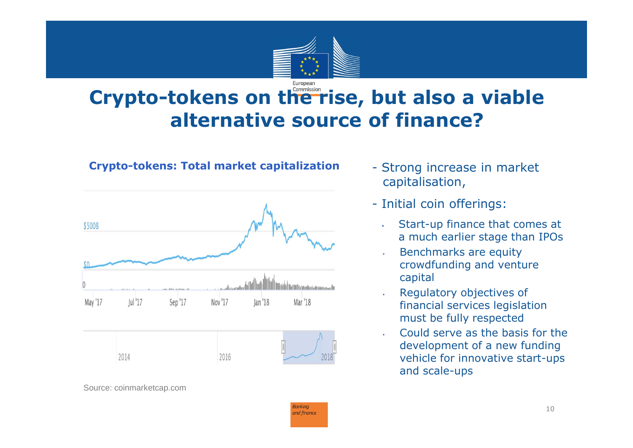

# **Crypto-tokens on the rise, but also a viable alternative source of finance?**



**Crypto-tokens: Total market capitalization**

- Strong increase in market capitalisation,
- Initial coin offerings:
	- ٠ Start-up finance that comes at a much earlier stage than IPOs
- • Benchmarks are equity crowdfunding and venture capital
- Regulatory objectives of financial services legislation must be fully respected
- Could serve as the basis for the development of a new funding vehicle for innovative start-ups and scale-ups

Source: coinmarketcap.com